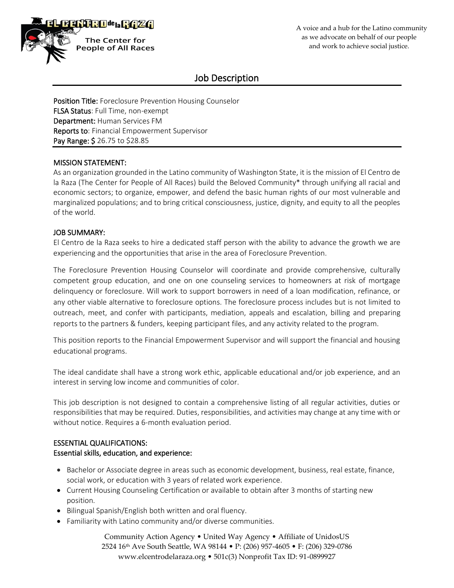

# Job Description

**Position Title:** Foreclosure Prevention Housing Counselor FLSA Status: Full Time, non-exempt Department: Human Services FM Reports to: Financial Empowerment Supervisor Pay Range: \$ 26.75 to \$28.85

## MISSION STATEMENT:

As an organization grounded in the Latino community of Washington State, it is the mission of El Centro de la Raza (The Center for People of All Races) build the Beloved Community\* through unifying all racial and economic sectors; to organize, empower, and defend the basic human rights of our most vulnerable and marginalized populations; and to bring critical consciousness, justice, dignity, and equity to all the peoples of the world.

## JOB SUMMARY:

El Centro de la Raza seeks to hire a dedicated staff person with the ability to advance the growth we are experiencing and the opportunities that arise in the area of Foreclosure Prevention.

The Foreclosure Prevention Housing Counselor will coordinate and provide comprehensive, culturally competent group education, and one on one counseling services to homeowners at risk of mortgage delinquency or foreclosure. Will work to support borrowers in need of a loan modification, refinance, or any other viable alternative to foreclosure options. The foreclosure process includes but is not limited to outreach, meet, and confer with participants, mediation, appeals and escalation, billing and preparing reports to the partners & funders, keeping participant files, and any activity related to the program.

This position reports to the Financial Empowerment Supervisor and will support the financial and housing educational programs.

The ideal candidate shall have a strong work ethic, applicable educational and/or job experience, and an interest in serving low income and communities of color.

This job description is not designed to contain a comprehensive listing of all regular activities, duties or responsibilities that may be required. Duties, responsibilities, and activities may change at any time with or without notice. Requires a 6-month evaluation period.

# ESSENTIAL QUALIFICATIONS:

#### Essential skills, education, and experience:

- Bachelor or Associate degree in areas such as economic development, business, real estate, finance, social work, or education with 3 years of related work experience.
- Current Housing Counseling Certification or available to obtain after 3 months of starting new position.
- Bilingual Spanish/English both written and oral fluency.
- Familiarity with Latino community and/or diverse communities.

Community Action Agency • United Way Agency • Affiliate of UnidosUS 2524 16th Ave South Seattle, WA 98144 • P: (206) 957-4605 • F: (206) 329-0786 www.elcentrodelaraza.org • 501c(3) Nonprofit Tax ID: 91-0899927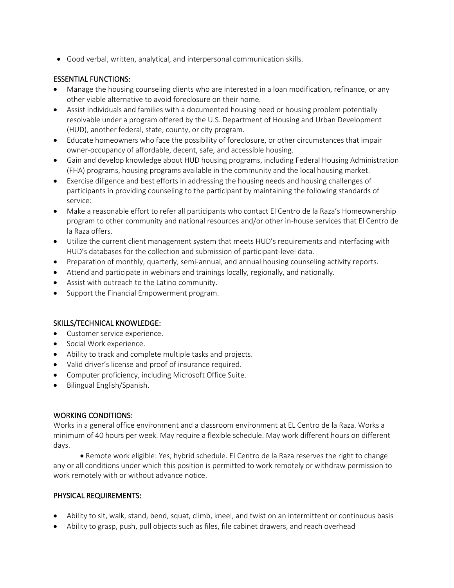• Good verbal, written, analytical, and interpersonal communication skills.

# ESSENTIAL FUNCTIONS:

- Manage the housing counseling clients who are interested in a loan modification, refinance, or any other viable alternative to avoid foreclosure on their home.
- Assist individuals and families with a documented housing need or housing problem potentially resolvable under a program offered by the U.S. Department of Housing and Urban Development (HUD), another federal, state, county, or city program.
- Educate homeowners who face the possibility of foreclosure, or other circumstances that impair owner-occupancy of affordable, decent, safe, and accessible housing.
- Gain and develop knowledge about HUD housing programs, including Federal Housing Administration (FHA) programs, housing programs available in the community and the local housing market.
- Exercise diligence and best efforts in addressing the housing needs and housing challenges of participants in providing counseling to the participant by maintaining the following standards of service:
- Make a reasonable effort to refer all participants who contact El Centro de la Raza's Homeownership program to other community and national resources and/or other in-house services that El Centro de la Raza offers.
- Utilize the current client management system that meets HUD's requirements and interfacing with HUD's databases for the collection and submission of participant-level data.
- Preparation of monthly, quarterly, semi-annual, and annual housing counseling activity reports.
- Attend and participate in webinars and trainings locally, regionally, and nationally.
- Assist with outreach to the Latino community.
- Support the Financial Empowerment program.

# SKILLS/TECHNICAL KNOWLEDGE:

- Customer service experience.
- Social Work experience.
- Ability to track and complete multiple tasks and projects.
- Valid driver's license and proof of insurance required.
- Computer proficiency, including Microsoft Office Suite.
- Bilingual English/Spanish.

#### WORKING CONDITIONS:

Works in a general office environment and a classroom environment at EL Centro de la Raza. Works a minimum of 40 hours per week. May require a flexible schedule. May work different hours on different days.

• Remote work eligible: Yes, hybrid schedule. El Centro de la Raza reserves the right to change any or all conditions under which this position is permitted to work remotely or withdraw permission to work remotely with or without advance notice.

# PHYSICAL REQUIREMENTS:

- Ability to sit, walk, stand, bend, squat, climb, kneel, and twist on an intermittent or continuous basis
- Ability to grasp, push, pull objects such as files, file cabinet drawers, and reach overhead